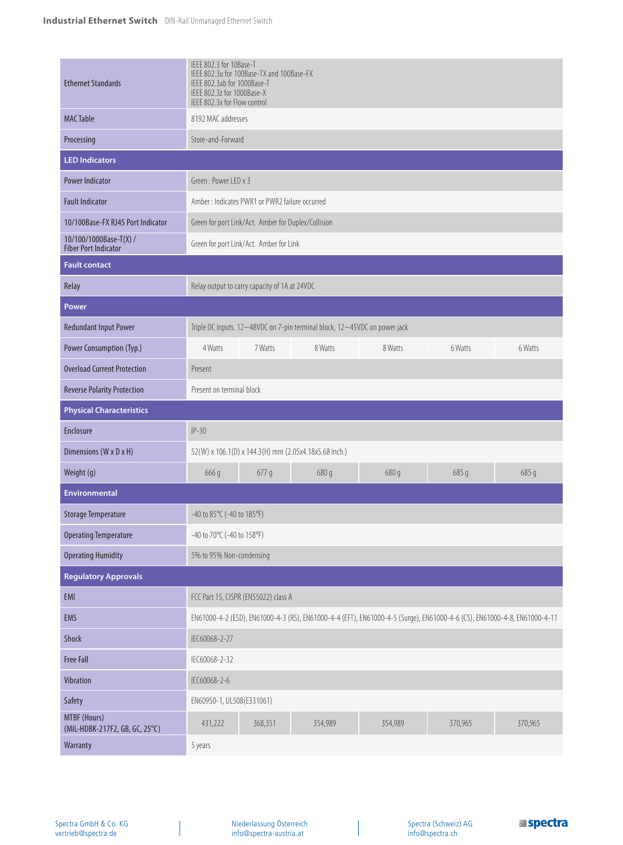| <b>Ethernet Standards</b>                             | IEEE 802.3 for 10Base-T<br>IEEE 802.3u for 100Base-TX and 100Base-FX<br>IEEE 802.3ab for 1000Base-T<br>IEEE 802.3z for 1000Base-X<br>IEEE 802.3x for Flow control |         |         |         |         |         |  |
|-------------------------------------------------------|-------------------------------------------------------------------------------------------------------------------------------------------------------------------|---------|---------|---------|---------|---------|--|
| <b>MAC Table</b>                                      | 8192 MAC addresses                                                                                                                                                |         |         |         |         |         |  |
| Processing                                            | Store-and-Forward                                                                                                                                                 |         |         |         |         |         |  |
| <b>LED Indicators</b>                                 |                                                                                                                                                                   |         |         |         |         |         |  |
| <b>Power Indicator</b>                                | Green: Power I FD x 3                                                                                                                                             |         |         |         |         |         |  |
| <b>Fault Indicator</b>                                | Amber: Indicates PWR1 or PWR2 failure occurred                                                                                                                    |         |         |         |         |         |  |
| 10/100Base-FX RJ45 Port Indicator                     | Green for port Link/Act. Amber for Duplex/Collision                                                                                                               |         |         |         |         |         |  |
| 10/100/1000Base-T(X) /<br><b>Fiber Port Indicator</b> | Green for port Link/Act. Amber for Link                                                                                                                           |         |         |         |         |         |  |
| <b>Fault contact</b>                                  |                                                                                                                                                                   |         |         |         |         |         |  |
| Relay                                                 | Relay output to carry capacity of 1A at 24VDC                                                                                                                     |         |         |         |         |         |  |
| <b>Power</b>                                          |                                                                                                                                                                   |         |         |         |         |         |  |
| <b>Redundant Input Power</b>                          | Triple DC inputs. 12~48VDC on 7-pin terminal block, 12~45VDC on power jack                                                                                        |         |         |         |         |         |  |
| Power Consumption (Typ.)                              | 4 Watts                                                                                                                                                           | 7 Watts | 8 Watts | 8 Watts | 6 Watts | 6 Watts |  |
| <b>Overload Current Protection</b>                    | Present                                                                                                                                                           |         |         |         |         |         |  |
| <b>Reverse Polarity Protection</b>                    | Present on terminal block                                                                                                                                         |         |         |         |         |         |  |
| <b>Physical Characteristics</b>                       |                                                                                                                                                                   |         |         |         |         |         |  |
| Enclosure                                             | $IP-30$                                                                                                                                                           |         |         |         |         |         |  |
| Dimensions (W x D x H)                                | 52(W) x 106.1(D) x 144.3(H) mm (2.05x4.18x5.68 inch.)                                                                                                             |         |         |         |         |         |  |
| Weight (g)                                            | 666 g                                                                                                                                                             | 677g    | 680 g   | 680 g   | 685 g   | 685 g   |  |
| <b>Environmental</b>                                  |                                                                                                                                                                   |         |         |         |         |         |  |
| <b>Storage Temperature</b>                            | -40 to 85°C (-40 to 185°F)                                                                                                                                        |         |         |         |         |         |  |
| <b>Operating Temperature</b>                          | -40 to 70°C (-40 to 158°F)                                                                                                                                        |         |         |         |         |         |  |
| <b>Operating Humidity</b>                             | 5% to 95% Non-condensing                                                                                                                                          |         |         |         |         |         |  |
| <b>Regulatory Approvals</b>                           |                                                                                                                                                                   |         |         |         |         |         |  |
| EMI                                                   | FCC Part 15, CISPR (EN55022) class A                                                                                                                              |         |         |         |         |         |  |
| EMS                                                   | EN61000-4-2 (ESD), EN61000-4-3 (RS), EN61000-4-4 (EFT), EN61000-4-5 (Surge), EN61000-4-6 (CS), EN61000-4-8, EN61000-4-11                                          |         |         |         |         |         |  |
| Shock                                                 | IEC60068-2-27                                                                                                                                                     |         |         |         |         |         |  |
| <b>Free Fall</b>                                      | IEC60068-2-32                                                                                                                                                     |         |         |         |         |         |  |
| Vibration                                             | IEC60068-2-6                                                                                                                                                      |         |         |         |         |         |  |
| Safety                                                | EN60950-1, UL508(E331061)                                                                                                                                         |         |         |         |         |         |  |
| MTBF (Hours)<br>(MIL-HDBK-217F2, GB, GC, 25°C)        | 431,222                                                                                                                                                           | 368,351 | 354,989 | 354,989 | 370,965 | 370,965 |  |
| Warranty                                              | 5 years                                                                                                                                                           |         |         |         |         |         |  |